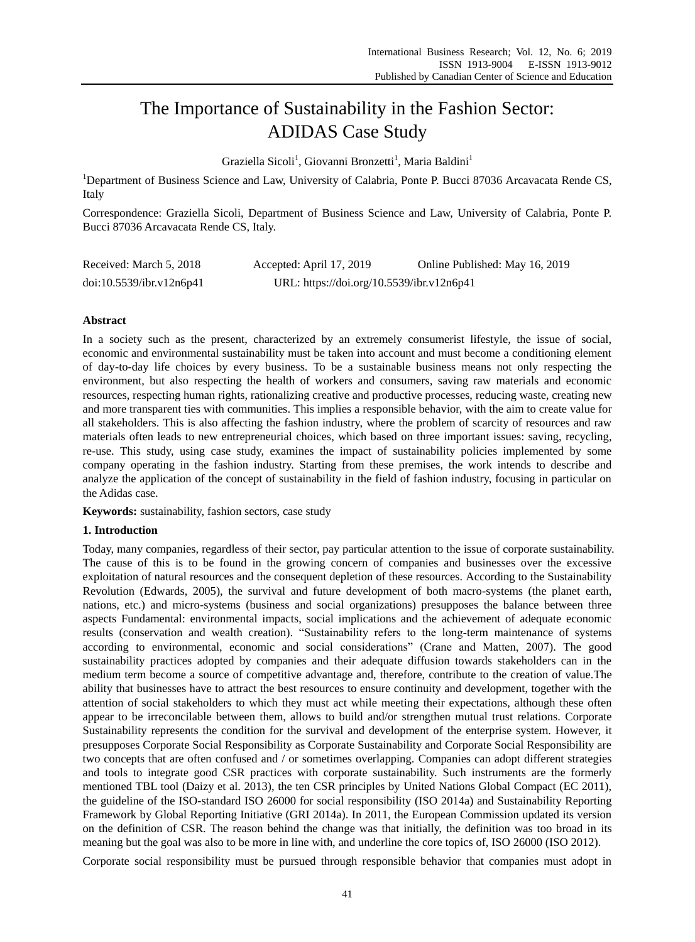# The Importance of Sustainability in the Fashion Sector: ADIDAS Case Study

Graziella Sicoli<sup>1</sup>, Giovanni Bronzetti<sup>1</sup>, Maria Baldini<sup>1</sup>

<sup>1</sup>Department of Business Science and Law, University of Calabria, Ponte P. Bucci 87036 Arcavacata Rende CS, Italy

Correspondence: Graziella Sicoli, Department of Business Science and Law, University of Calabria, Ponte P. Bucci 87036 Arcavacata Rende CS, Italy.

| Received: March 5, 2018  | Accepted: April 17, 2019                  | Online Published: May 16, 2019 |
|--------------------------|-------------------------------------------|--------------------------------|
| doi:10.5539/ibr.v12n6p41 | URL: https://doi.org/10.5539/ibr.v12n6p41 |                                |

# **Abstract**

In a society such as the present, characterized by an extremely consumerist lifestyle, the issue of social, economic and environmental sustainability must be taken into account and must become a conditioning element of day-to-day life choices by every business. To be a sustainable business means not only respecting the environment, but also respecting the health of workers and consumers, saving raw materials and economic resources, respecting human rights, rationalizing creative and productive processes, reducing waste, creating new and more transparent ties with communities. This implies a responsible behavior, with the aim to create value for all stakeholders. This is also affecting the fashion industry, where the problem of scarcity of resources and raw materials often leads to new entrepreneurial choices, which based on three important issues: saving, recycling, re-use. This study, using case study, examines the impact of sustainability policies implemented by some company operating in the fashion industry. Starting from these premises, the work intends to describe and analyze the application of the concept of sustainability in the field of fashion industry, focusing in particular on the Adidas case.

**Keywords:** sustainability, fashion sectors, case study

## **1. Introduction**

Today, many companies, regardless of their sector, pay particular attention to the issue of corporate sustainability. The cause of this is to be found in the growing concern of companies and businesses over the excessive exploitation of natural resources and the consequent depletion of these resources. According to the Sustainability Revolution (Edwards, 2005), the survival and future development of both macro-systems (the planet earth, nations, etc.) and micro-systems (business and social organizations) presupposes the balance between three aspects Fundamental: environmental impacts, social implications and the achievement of adequate economic results (conservation and wealth creation). "Sustainability refers to the long-term maintenance of systems according to environmental, economic and social considerations" (Crane and Matten, 2007). The good sustainability practices adopted by companies and their adequate diffusion towards stakeholders can in the medium term become a source of competitive advantage and, therefore, contribute to the creation of value.The ability that businesses have to attract the best resources to ensure continuity and development, together with the attention of social stakeholders to which they must act while meeting their expectations, although these often appear to be irreconcilable between them, allows to build and/or strengthen mutual trust relations. Corporate Sustainability represents the condition for the survival and development of the enterprise system. However, it presupposes Corporate Social Responsibility as Corporate Sustainability and Corporate Social Responsibility are two concepts that are often confused and / or sometimes overlapping. Companies can adopt different strategies and tools to integrate good CSR practices with corporate sustainability. Such instruments are the formerly mentioned TBL tool (Daizy et al. 2013), the ten CSR principles by United Nations Global Compact (EC 2011), the guideline of the ISO-standard ISO 26000 for social responsibility (ISO 2014a) and Sustainability Reporting Framework by Global Reporting Initiative (GRI 2014a). In 2011, the European Commission updated its version on the definition of CSR. The reason behind the change was that initially, the definition was too broad in its meaning but the goal was also to be more in line with, and underline the core topics of, ISO 26000 (ISO 2012).

Corporate social responsibility must be pursued through responsible behavior that companies must adopt in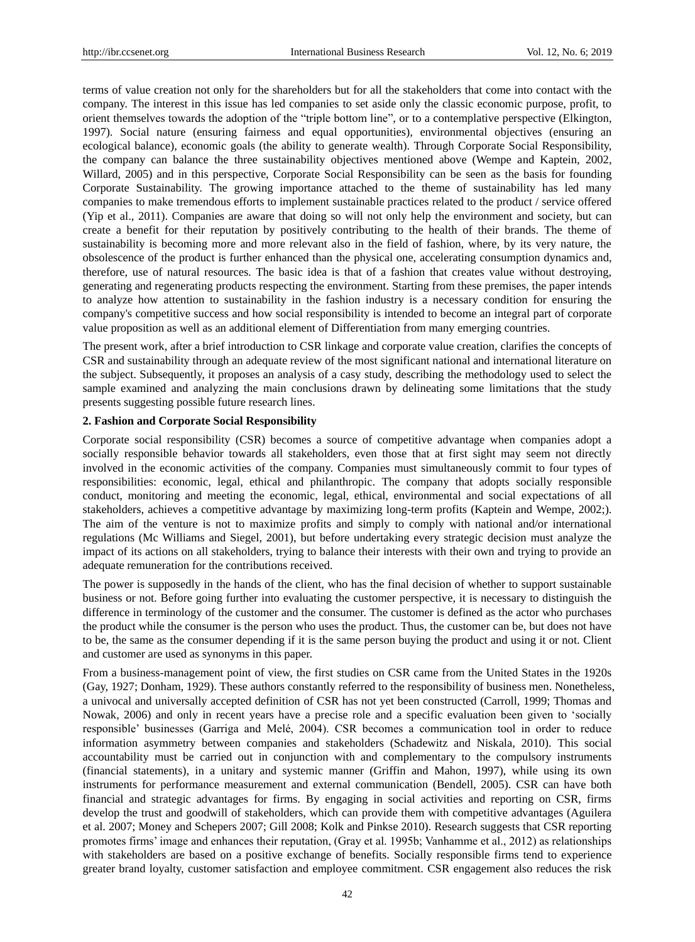terms of value creation not only for the shareholders but for all the stakeholders that come into contact with the company. The interest in this issue has led companies to set aside only the classic economic purpose, profit, to orient themselves towards the adoption of the "triple bottom line", or to a contemplative perspective (Elkington, 1997). Social nature (ensuring fairness and equal opportunities), environmental objectives (ensuring an ecological balance), economic goals (the ability to generate wealth). Through Corporate Social Responsibility, the company can balance the three sustainability objectives mentioned above (Wempe and Kaptein, 2002, Willard, 2005) and in this perspective, Corporate Social Responsibility can be seen as the basis for founding Corporate Sustainability. The growing importance attached to the theme of sustainability has led many companies to make tremendous efforts to implement sustainable practices related to the product / service offered (Yip et al., 2011). Companies are aware that doing so will not only help the environment and society, but can create a benefit for their reputation by positively contributing to the health of their brands. The theme of sustainability is becoming more and more relevant also in the field of fashion, where, by its very nature, the obsolescence of the product is further enhanced than the physical one, accelerating consumption dynamics and, therefore, use of natural resources. The basic idea is that of a fashion that creates value without destroying, generating and regenerating products respecting the environment. Starting from these premises, the paper intends to analyze how attention to sustainability in the fashion industry is a necessary condition for ensuring the company's competitive success and how social responsibility is intended to become an integral part of corporate value proposition as well as an additional element of Differentiation from many emerging countries.

The present work, after a brief introduction to CSR linkage and corporate value creation, clarifies the concepts of CSR and sustainability through an adequate review of the most significant national and international literature on the subject. Subsequently, it proposes an analysis of a casy study, describing the methodology used to select the sample examined and analyzing the main conclusions drawn by delineating some limitations that the study presents suggesting possible future research lines.

#### **2. Fashion and Corporate Social Responsibility**

Corporate social responsibility (CSR) becomes a source of competitive advantage when companies adopt a socially responsible behavior towards all stakeholders, even those that at first sight may seem not directly involved in the economic activities of the company. Companies must simultaneously commit to four types of responsibilities: economic, legal, ethical and philanthropic. The company that adopts socially responsible conduct, monitoring and meeting the economic, legal, ethical, environmental and social expectations of all stakeholders, achieves a competitive advantage by maximizing long-term profits (Kaptein and Wempe, 2002;). The aim of the venture is not to maximize profits and simply to comply with national and/or international regulations (Mc Williams and Siegel, 2001), but before undertaking every strategic decision must analyze the impact of its actions on all stakeholders, trying to balance their interests with their own and trying to provide an adequate remuneration for the contributions received.

The power is supposedly in the hands of the client, who has the final decision of whether to support sustainable business or not. Before going further into evaluating the customer perspective, it is necessary to distinguish the difference in terminology of the customer and the consumer. The customer is defined as the actor who purchases the product while the consumer is the person who uses the product. Thus, the customer can be, but does not have to be, the same as the consumer depending if it is the same person buying the product and using it or not. Client and customer are used as synonyms in this paper.

From a business-management point of view, the first studies on CSR came from the United States in the 1920s (Gay, 1927; Donham, 1929). These authors constantly referred to the responsibility of business men. Nonetheless, a univocal and universally accepted definition of CSR has not yet been constructed (Carroll, 1999; Thomas and Nowak, 2006) and only in recent years have a precise role and a specific evaluation been given to "socially responsible" businesses (Garriga and Melé, 2004). CSR becomes a communication tool in order to reduce information asymmetry between companies and stakeholders (Schadewitz and Niskala, 2010). This social accountability must be carried out in conjunction with and complementary to the compulsory instruments (financial statements), in a unitary and systemic manner (Griffin and Mahon, 1997), while using its own instruments for performance measurement and external communication (Bendell, 2005). CSR can have both financial and strategic advantages for firms. By engaging in social activities and reporting on CSR, firms develop the trust and goodwill of stakeholders, which can provide them with competitive advantages (Aguilera et al. 2007; Money and Schepers 2007; Gill 2008; Kolk and Pinkse 2010). Research suggests that CSR reporting promotes firms" image and enhances their reputation, (Gray et al. 1995b; Vanhamme et al., 2012) as relationships with stakeholders are based on a positive exchange of benefits. Socially responsible firms tend to experience greater brand loyalty, customer satisfaction and employee commitment. CSR engagement also reduces the risk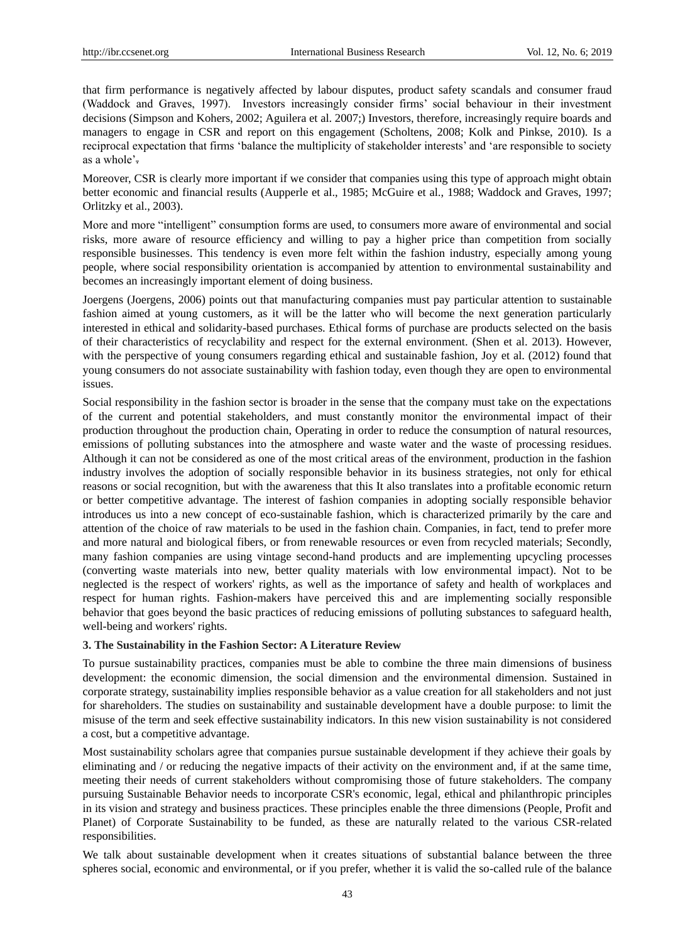that firm performance is negatively affected by labour disputes, product safety scandals and consumer fraud (Waddock and Graves, 1997). Investors increasingly consider firms" social behaviour in their investment decisions (Simpson and Kohers, 2002; Aguilera et al. 2007;) Investors, therefore, increasingly require boards and managers to engage in CSR and report on this engagement (Scholtens, 2008; Kolk and Pinkse, 2010). Is a reciprocal expectation that firms "balance the multiplicity of stakeholder interests" and "are responsible to society as a whole".

Moreover, CSR is clearly more important if we consider that companies using this type of approach might obtain better economic and financial results (Aupperle et al., 1985; McGuire et al., 1988; Waddock and Graves, 1997; Orlitzky et al., 2003).

More and more "intelligent" consumption forms are used, to consumers more aware of environmental and social risks, more aware of resource efficiency and willing to pay a higher price than competition from socially responsible businesses. This tendency is even more felt within the fashion industry, especially among young people, where social responsibility orientation is accompanied by attention to environmental sustainability and becomes an increasingly important element of doing business.

Joergens (Joergens, 2006) points out that manufacturing companies must pay particular attention to sustainable fashion aimed at young customers, as it will be the latter who will become the next generation particularly interested in ethical and solidarity-based purchases. Ethical forms of purchase are products selected on the basis of their characteristics of recyclability and respect for the external environment. (Shen et al. 2013). However, with the perspective of young consumers regarding ethical and sustainable fashion, Joy et al. (2012) found that young consumers do not associate sustainability with fashion today, even though they are open to environmental issues.

Social responsibility in the fashion sector is broader in the sense that the company must take on the expectations of the current and potential stakeholders, and must constantly monitor the environmental impact of their production throughout the production chain, Operating in order to reduce the consumption of natural resources, emissions of polluting substances into the atmosphere and waste water and the waste of processing residues. Although it can not be considered as one of the most critical areas of the environment, production in the fashion industry involves the adoption of socially responsible behavior in its business strategies, not only for ethical reasons or social recognition, but with the awareness that this It also translates into a profitable economic return or better competitive advantage. The interest of fashion companies in adopting socially responsible behavior introduces us into a new concept of eco-sustainable fashion, which is characterized primarily by the care and attention of the choice of raw materials to be used in the fashion chain. Companies, in fact, tend to prefer more and more natural and biological fibers, or from renewable resources or even from recycled materials; Secondly, many fashion companies are using vintage second-hand products and are implementing upcycling processes (converting waste materials into new, better quality materials with low environmental impact). Not to be neglected is the respect of workers' rights, as well as the importance of safety and health of workplaces and respect for human rights. Fashion-makers have perceived this and are implementing socially responsible behavior that goes beyond the basic practices of reducing emissions of polluting substances to safeguard health, well-being and workers' rights.

#### **3. The Sustainability in the Fashion Sector: A Literature Review**

To pursue sustainability practices, companies must be able to combine the three main dimensions of business development: the economic dimension, the social dimension and the environmental dimension. Sustained in corporate strategy, sustainability implies responsible behavior as a value creation for all stakeholders and not just for shareholders. The studies on sustainability and sustainable development have a double purpose: to limit the misuse of the term and seek effective sustainability indicators. In this new vision sustainability is not considered a cost, but a competitive advantage.

Most sustainability scholars agree that companies pursue sustainable development if they achieve their goals by eliminating and / or reducing the negative impacts of their activity on the environment and, if at the same time, meeting their needs of current stakeholders without compromising those of future stakeholders. The company pursuing Sustainable Behavior needs to incorporate CSR's economic, legal, ethical and philanthropic principles in its vision and strategy and business practices. These principles enable the three dimensions (People, Profit and Planet) of Corporate Sustainability to be funded, as these are naturally related to the various CSR-related responsibilities.

We talk about sustainable development when it creates situations of substantial balance between the three spheres social, economic and environmental, or if you prefer, whether it is valid the so-called rule of the balance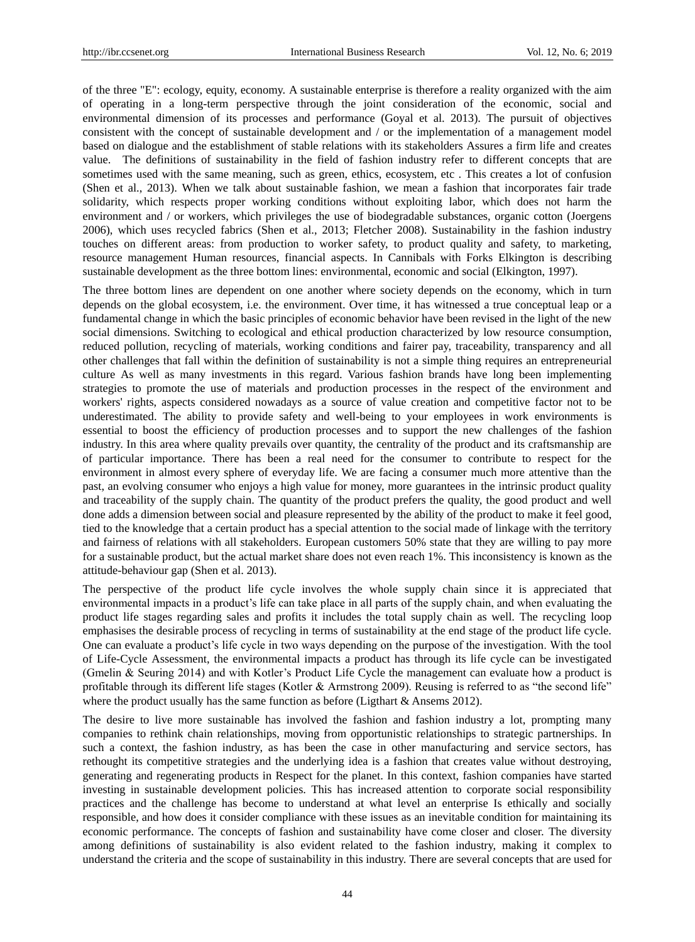of the three "E": ecology, equity, economy. A sustainable enterprise is therefore a reality organized with the aim of operating in a long-term perspective through the joint consideration of the economic, social and environmental dimension of its processes and performance (Goyal et al. 2013). The pursuit of objectives consistent with the concept of sustainable development and / or the implementation of a management model based on dialogue and the establishment of stable relations with its stakeholders Assures a firm life and creates value. The definitions of sustainability in the field of fashion industry refer to different concepts that are sometimes used with the same meaning, such as green, ethics, ecosystem, etc . This creates a lot of confusion (Shen et al., 2013). When we talk about sustainable fashion, we mean a fashion that incorporates fair trade solidarity, which respects proper working conditions without exploiting labor, which does not harm the environment and / or workers, which privileges the use of biodegradable substances, organic cotton (Joergens 2006), which uses recycled fabrics (Shen et al., 2013; Fletcher 2008). Sustainability in the fashion industry touches on different areas: from production to worker safety, to product quality and safety, to marketing, resource management Human resources, financial aspects. In Cannibals with Forks Elkington is describing sustainable development as the three bottom lines: environmental, economic and social (Elkington, 1997).

The three bottom lines are dependent on one another where society depends on the economy, which in turn depends on the global ecosystem, i.e. the environment. Over time, it has witnessed a true conceptual leap or a fundamental change in which the basic principles of economic behavior have been revised in the light of the new social dimensions. Switching to ecological and ethical production characterized by low resource consumption, reduced pollution, recycling of materials, working conditions and fairer pay, traceability, transparency and all other challenges that fall within the definition of sustainability is not a simple thing requires an entrepreneurial culture As well as many investments in this regard. Various fashion brands have long been implementing strategies to promote the use of materials and production processes in the respect of the environment and workers' rights, aspects considered nowadays as a source of value creation and competitive factor not to be underestimated. The ability to provide safety and well-being to your employees in work environments is essential to boost the efficiency of production processes and to support the new challenges of the fashion industry. In this area where quality prevails over quantity, the centrality of the product and its craftsmanship are of particular importance. There has been a real need for the consumer to contribute to respect for the environment in almost every sphere of everyday life. We are facing a consumer much more attentive than the past, an evolving consumer who enjoys a high value for money, more guarantees in the intrinsic product quality and traceability of the supply chain. The quantity of the product prefers the quality, the good product and well done adds a dimension between social and pleasure represented by the ability of the product to make it feel good, tied to the knowledge that a certain product has a special attention to the social made of linkage with the territory and fairness of relations with all stakeholders. European customers 50% state that they are willing to pay more for a sustainable product, but the actual market share does not even reach 1%. This inconsistency is known as the attitude-behaviour gap (Shen et al. 2013).

The perspective of the product life cycle involves the whole supply chain since it is appreciated that environmental impacts in a product's life can take place in all parts of the supply chain, and when evaluating the product life stages regarding sales and profits it includes the total supply chain as well. The recycling loop emphasises the desirable process of recycling in terms of sustainability at the end stage of the product life cycle. One can evaluate a product"s life cycle in two ways depending on the purpose of the investigation. With the tool of Life-Cycle Assessment, the environmental impacts a product has through its life cycle can be investigated (Gmelin & Seuring 2014) and with Kotler"s Product Life Cycle the management can evaluate how a product is profitable through its different life stages (Kotler & Armstrong 2009). Reusing is referred to as "the second life" where the product usually has the same function as before (Ligthart & Ansems 2012).

The desire to live more sustainable has involved the fashion and fashion industry a lot, prompting many companies to rethink chain relationships, moving from opportunistic relationships to strategic partnerships. In such a context, the fashion industry, as has been the case in other manufacturing and service sectors, has rethought its competitive strategies and the underlying idea is a fashion that creates value without destroying, generating and regenerating products in Respect for the planet. In this context, fashion companies have started investing in sustainable development policies. This has increased attention to corporate social responsibility practices and the challenge has become to understand at what level an enterprise Is ethically and socially responsible, and how does it consider compliance with these issues as an inevitable condition for maintaining its economic performance. The concepts of fashion and sustainability have come closer and closer. The diversity among definitions of sustainability is also evident related to the fashion industry, making it complex to understand the criteria and the scope of sustainability in this industry. There are several concepts that are used for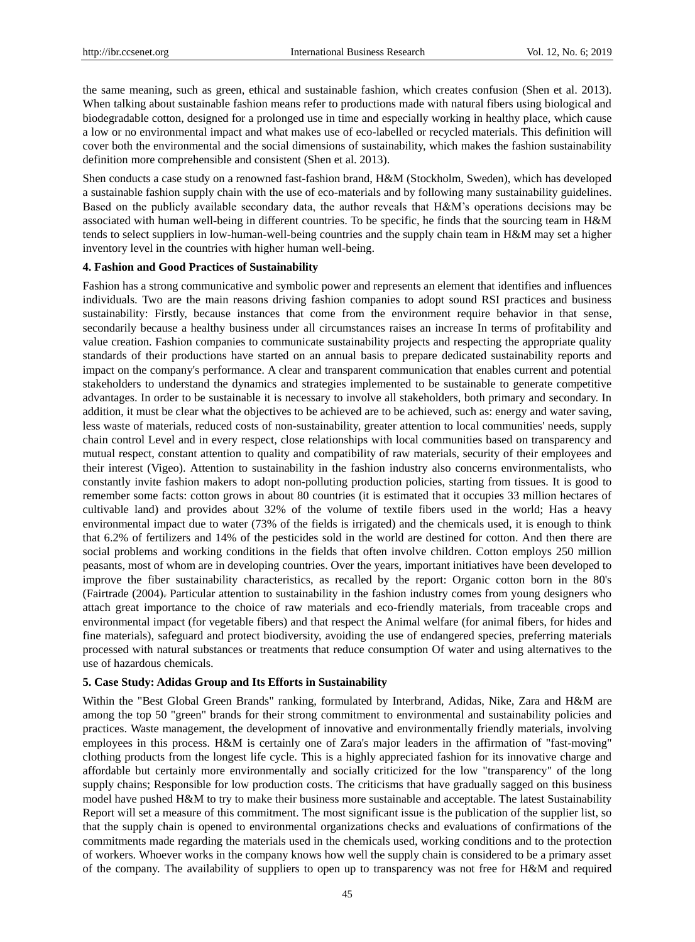the same meaning, such as green, ethical and sustainable fashion, which creates confusion (Shen et al. 2013). When talking about sustainable fashion means refer to productions made with natural fibers using biological and biodegradable cotton, designed for a prolonged use in time and especially working in healthy place, which cause a low or no environmental impact and what makes use of eco-labelled or recycled materials. This definition will cover both the environmental and the social dimensions of sustainability, which makes the fashion sustainability definition more comprehensible and consistent (Shen et al. 2013).

Shen conducts a case study on a renowned fast-fashion brand, H&M (Stockholm, Sweden), which has developed a sustainable fashion supply chain with the use of eco-materials and by following many sustainability guidelines. Based on the publicly available secondary data, the author reveals that H&M"s operations decisions may be associated with human well-being in different countries. To be specific, he finds that the sourcing team in H&M tends to select suppliers in low-human-well-being countries and the supply chain team in H&M may set a higher inventory level in the countries with higher human well-being.

#### **4. Fashion and Good Practices of Sustainability**

Fashion has a strong communicative and symbolic power and represents an element that identifies and influences individuals. Two are the main reasons driving fashion companies to adopt sound RSI practices and business sustainability: Firstly, because instances that come from the environment require behavior in that sense, secondarily because a healthy business under all circumstances raises an increase In terms of profitability and value creation. Fashion companies to communicate sustainability projects and respecting the appropriate quality standards of their productions have started on an annual basis to prepare dedicated sustainability reports and impact on the company's performance. A clear and transparent communication that enables current and potential stakeholders to understand the dynamics and strategies implemented to be sustainable to generate competitive advantages. In order to be sustainable it is necessary to involve all stakeholders, both primary and secondary. In addition, it must be clear what the objectives to be achieved are to be achieved, such as: energy and water saving, less waste of materials, reduced costs of non-sustainability, greater attention to local communities' needs, supply chain control Level and in every respect, close relationships with local communities based on transparency and mutual respect, constant attention to quality and compatibility of raw materials, security of their employees and their interest (Vigeo). Attention to sustainability in the fashion industry also concerns environmentalists, who constantly invite fashion makers to adopt non-polluting production policies, starting from tissues. It is good to remember some facts: cotton grows in about 80 countries (it is estimated that it occupies 33 million hectares of cultivable land) and provides about 32% of the volume of textile fibers used in the world; Has a heavy environmental impact due to water (73% of the fields is irrigated) and the chemicals used, it is enough to think that 6.2% of fertilizers and 14% of the pesticides sold in the world are destined for cotton. And then there are social problems and working conditions in the fields that often involve children. Cotton employs 250 million peasants, most of whom are in developing countries. Over the years, important initiatives have been developed to improve the fiber sustainability characteristics, as recalled by the report: Organic cotton born in the 80's (Fairtrade (2004). Particular attention to sustainability in the fashion industry comes from young designers who attach great importance to the choice of raw materials and eco-friendly materials, from traceable crops and environmental impact (for vegetable fibers) and that respect the Animal welfare (for animal fibers, for hides and fine materials), safeguard and protect biodiversity, avoiding the use of endangered species, preferring materials processed with natural substances or treatments that reduce consumption Of water and using alternatives to the use of hazardous chemicals.

## **5. Case Study: Adidas Group and Its Efforts in Sustainability**

Within the "Best Global Green Brands" ranking, formulated by Interbrand, Adidas, Nike, Zara and H&M are among the top 50 "green" brands for their strong commitment to environmental and sustainability policies and practices. Waste management, the development of innovative and environmentally friendly materials, involving employees in this process. H&M is certainly one of Zara's major leaders in the affirmation of "fast-moving" clothing products from the longest life cycle. This is a highly appreciated fashion for its innovative charge and affordable but certainly more environmentally and socially criticized for the low "transparency" of the long supply chains; Responsible for low production costs. The criticisms that have gradually sagged on this business model have pushed H&M to try to make their business more sustainable and acceptable. The latest Sustainability Report will set a measure of this commitment. The most significant issue is the publication of the supplier list, so that the supply chain is opened to environmental organizations checks and evaluations of confirmations of the commitments made regarding the materials used in the chemicals used, working conditions and to the protection of workers. Whoever works in the company knows how well the supply chain is considered to be a primary asset of the company. The availability of suppliers to open up to transparency was not free for H&M and required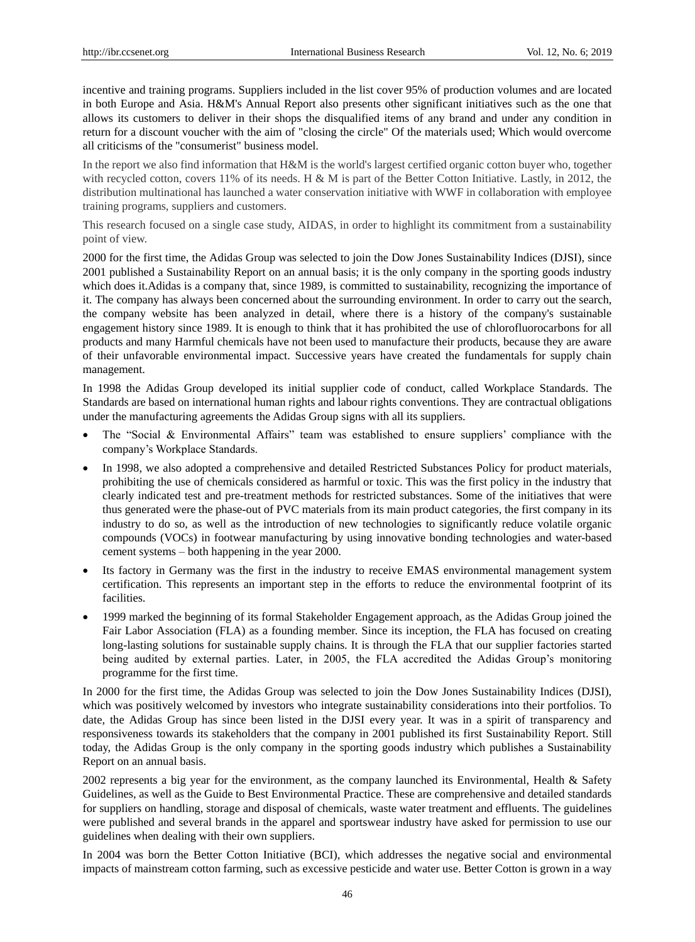incentive and training programs. Suppliers included in the list cover 95% of production volumes and are located in both Europe and Asia. H&M's Annual Report also presents other significant initiatives such as the one that allows its customers to deliver in their shops the disqualified items of any brand and under any condition in return for a discount voucher with the aim of "closing the circle" Of the materials used; Which would overcome all criticisms of the "consumerist" business model.

In the report we also find information that H&M is the world's largest certified organic cotton buyer who, together with recycled cotton, covers 11% of its needs. H & M is part of the Better Cotton Initiative. Lastly, in 2012, the distribution multinational has launched a water conservation initiative with WWF in collaboration with employee training programs, suppliers and customers.

This research focused on a single case study, AIDAS, in order to highlight its commitment from a sustainability point of view.

2000 for the first time, the Adidas Group was selected to join the Dow Jones Sustainability Indices (DJSI), since 2001 published a [Sustainability Report](http://www.adidas-group.com/en/sustainability/reporting/sustainability-reports/) on an annual basis; it is the only company in the sporting goods industry which does it.Adidas is a company that, since 1989, is committed to sustainability, recognizing the importance of it. The company has always been concerned about the surrounding environment. In order to carry out the search, the company website has been analyzed in detail, where there is a history of the company's sustainable engagement history since 1989. It is enough to think that it has prohibited the use of chlorofluorocarbons for all products and many Harmful chemicals have not been used to manufacture their products, because they are aware of their unfavorable environmental impact. Successive years have created the fundamentals for supply chain management.

In 1998 the Adidas Group developed its initial supplier code of conduct, called [Workplace Standards.](http://www.adidas-group.com/media/filer_public/2013/07/31/english_workplace_standards_en.pdf) The Standards are based on international human rights and labour rights conventions. They are contractual obligations under the manufacturing agreements the Adidas Group signs with all its suppliers.

- The "Social & Environmental Affairs" team was established to ensure suppliers' compliance with the company"s Workplace Standards.
- In 1998, we also adopted a comprehensive and detailed [Restricted Substances Policy](https://cms.adidas-group.com/en/sustainability/reporting/policies-and-standards/) for product materials, prohibiting the use of chemicals considered as harmful or toxic. This was the first policy in the industry that clearly indicated test and pre-treatment methods for restricted substances. Some of the initiatives that were thus generated were the phase-out of PVC materials from its main product categories, the first company in its industry to do so, as well as the introduction of new technologies to significantly reduce volatile organic compounds (VOCs) in footwear manufacturing by using innovative bonding technologies and water-based cement systems – both happening in the year 2000.
- Its factory in Germany was the first in the industry to receive EMAS environmental management system certification. This represents an important step in the efforts to reduce the environmental footprint of its facilities.
- 1999 marked the beginning of its formal Stakeholder Engagement approach, as the Adidas Group joined the [Fair Labor Association](http://www.fairlabor.org/) (FLA) as a founding member. Since its inception, the FLA has focused on creating long-lasting solutions for sustainable supply chains. It is through the FLA that our supplier factories started being audited by external parties. Later, in 2005, the FLA accredited the Adidas Group's monitoring programme for the first time.

In 2000 for the first time, the Adidas Group was selected to join the Dow Jones Sustainability Indices (DJSI), which was positively welcomed by investors who integrate sustainability considerations into their portfolios. To date, the Adidas Group has since been listed in the DJSI every year. It was in a spirit of transparency and responsiveness towards its stakeholders that the company in 2001 published its first [Sustainability Report.](http://www.adidas-group.com/en/sustainability/reporting/sustainability-reports/) Still today, the Adidas Group is the only company in the sporting goods industry which publishes a Sustainability Report on an annual basis.

2002 represents a big year for the environment, as the company launched its Environmental, Health & Safety Guidelines, as well as the Guide to Best Environmental Practice. These are comprehensive and detailed standards for suppliers on handling, storage and disposal of chemicals, waste water treatment and effluents. The guidelines were published and several brands in the apparel and sportswear industry have asked for permission to use our guidelines when dealing with their own suppliers.

In 2004 was born the [Better Cotton Initiative](http://bettercotton.org/) (BCI), which addresses the negative social and environmental impacts of mainstream cotton farming, such as excessive pesticide and water use. Better Cotton is grown in a way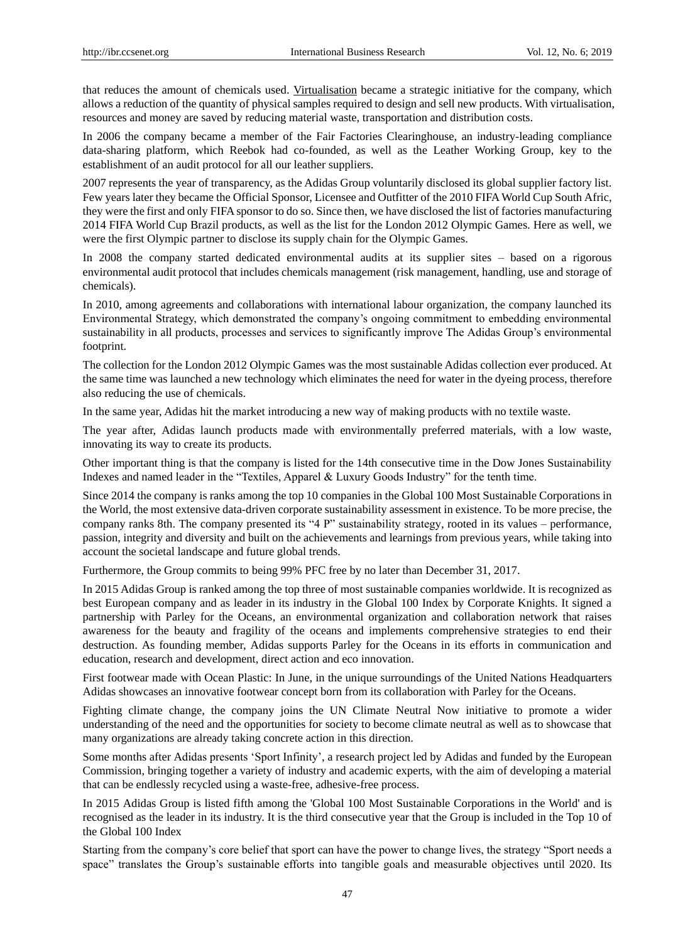that reduces the amount of chemicals used. [Virtualisation](http://blog.adidas-group.com/2013/07/virtualisation-%E2%80%93-creating-and-selling-products-in-a-sustainable-way-2/) became a strategic initiative for the company, which allows a reduction of the quantity of physical samples required to design and sell new products. With virtualisation, resources and money are saved by reducing material waste, transportation and distribution costs.

In 2006 the company became a member of the [Fair Factories Clearinghouse,](http://www.fairfactories.org/Main/Index.aspx) an industry-leading compliance data-sharing platform, which Reebok had co-founded, as well as the [Leather Working Group,](http://www.leatherworkinggroup.com/) key to the establishment of an audit protocol for all our leather suppliers.

2007 represents the year of transparency, as the Adidas Group voluntarily disclosed its [global supplier factory list.](http://www.adidas-group.com/en/sustainability/compliance/supply-chain-structure/) Few years later they became the Official Sponsor, Licensee and Outfitter of the 2010 FIFA World Cup South Afric, they were the first and only FIFA sponsor to do so. Since then, we have disclosed the list of factories manufacturing 2014 FIFA World Cup Brazil products, as well as the list for the London 2012 Olympic Games. Here as well, we were the first Olympic partner to disclose its supply chain for the Olympic Games.

In 2008 the company started dedicated environmental audits at its supplier sites – based on a rigorous environmental audit protocol that includes chemicals management (risk management, handling, use and storage of chemicals).

In 2010, among agreements and collaborations with international labour organization, the company launched its Environmental Strategy, which demonstrated the company"s ongoing commitment to embedding environmental sustainability in all products, processes and services to significantly improve The Adidas Group's environmental footprint.

The collection for the London 2012 Olympic Games was the most sustainable Adidas collection ever produced. At the same time was launched a new technology which eliminates the need for water in the dyeing process, therefore also reducing the use of chemicals.

[In](http://blog.adidas-group.com/2012/08/how-primeknit-was-born-there-are-no-books-we-could-have-referred-to-for-this-project%E2%80%9D/) the same year, Adidas hit the market introducing a new way of making products with no textile waste.

The year after, Adidas launch products made with environmentally preferred materials, with a low waste, innovating its way to create its products.

Other important thing is that the company is listed for the 14th consecutive time in the Dow Jones Sustainability Indexes and named leader in the "Textiles, Apparel & Luxury Goods Industry" for the tenth time.

Since 2014 the company is ranks [among the top 10 companies in the Global 100 Most Sustainable Corporations in](http://blog.adidas-group.com/2014/01/adidas-group-among-the-top-10-most-sustainable-corporations-in-the-world/)  [the World,](http://blog.adidas-group.com/2014/01/adidas-group-among-the-top-10-most-sustainable-corporations-in-the-world/) the most extensive data-driven corporate sustainability assessment in existence. To be more precise, the company ranks 8th. The company presented [its "4 P" sustainability strategy,](http://www.adidas-group.com/en/sustainability/managing-sustainability/general-approach/#/our-sustainability-strategy/) rooted in its values – performance, passion, integrity and diversity and built on the achievements and learnings from previous years, while taking into account the societal landscape and future global trends.

Furthermore, the Group commits to [being 99% PFC free by no later than December 31, 2017.](http://www.adidas-group.com/en/media/news-archive/press-releases/2014/adidas-group-marks-breakthrough-progress-in-chemical-management-programme/)

In 2015 Adidas Group is ranked among the [top three of most sustainable companies worldwide.](http://www.adidas-group.com/en/media/news-archive/press-releases/2015/adidas-group-makes-it-podium-most-sustainable-companies-worldwid/) It is recognized as best European company and as leader in its industry in the Global 100 Index by Corporate Knights. It signed a [partnership with Parley for the Oceans,](http://www.adidas-group.com/en/media/news-archive/press-releases/2015/adidas-group-announces-new-partnership-parley-oceans-and-launche/) an environmental organization and collaboration network that raises awareness for the beauty and fragility of the oceans and implements comprehensive strategies to end their destruction. As founding member, Adidas supports Parley for the Oceans in its efforts in communication and education, research and development, direct action and eco innovation.

First footwear made with Ocean Plastic: In June, in the unique surroundings of the United Nations Headquarters [Adidas showcases an innovative footwear concept born from its collaboration with Parley for the Oceans.](http://www.adidas-group.com/en/media/news-archive/press-releases/2015/adidas-and-parley-oceans-showcase-sustainability-innovation-un-c/)

Fighting climate change, the company [joins the UN Climate Neutral Now initiative t](http://www.adidas-group.com/en/media/news-archive/press-releases/2015/adidas-group-joins-un-climate-neutral-now-initiative/)o promote a wider understanding of the need and the opportunities for society to become climate neutral as well as to showcase that many organizations are already taking concrete action in this direction.

Some months after [Adidas presents "Sport Infinity",](http://www.adidas-group.com/en/media/news-archive/press-releases/2015/messis-boots-today-recycled-yours-tomorrow/) a research project led by Adidas and funded by the European Commission, bringing together a variety of industry and academic experts, with the aim of developing a material that can be endlessly recycled using a waste-free, adhesive-free process.

In 2015 [Adidas Group is listed fifth among the 'Global 100 Most Sustainable Corporations in the World'](http://www.corporateknights.com/magazines/2016-global-100-issue/2016-global-100-results-14533333/) and is recognised as the leader in its industry. It is the third consecutive year that the Group is included in the Top 10 of the Global 100 Index

Starting from the company"s core belief that sport can have the power to change lives, the strategy "Sport needs a space" translates the Group's sustainable efforts into tangible goals and measurable objectives until 2020. Its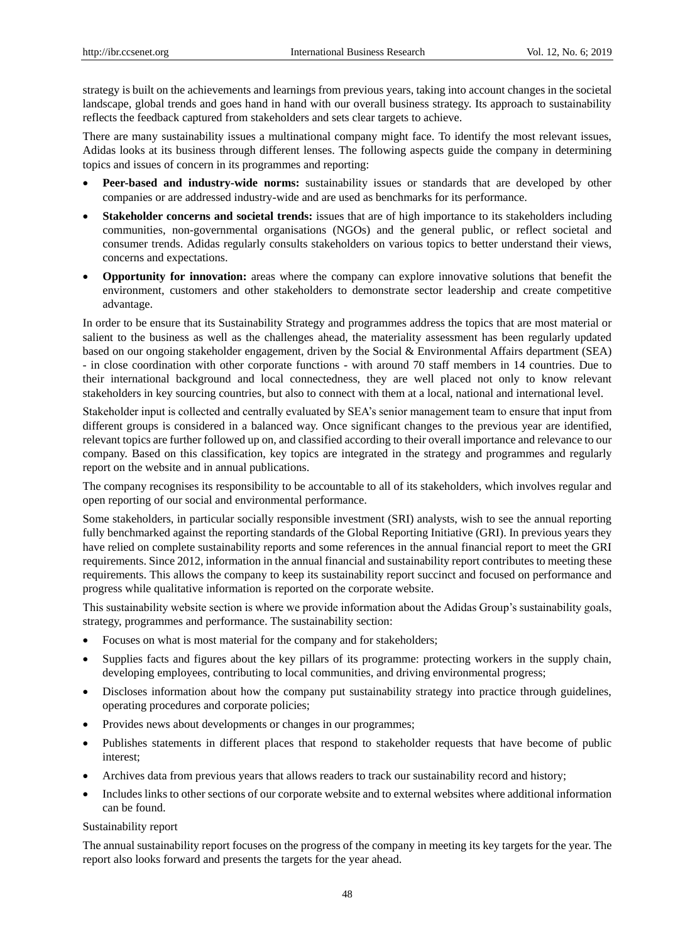strategy is built on the achievements and learnings from previous years, taking into account changes in the societal landscape, global trends and goes hand in hand with our overall business strategy. Its approach to sustainability reflects the feedback captured from stakeholders and sets clear targets to achieve.

There are many sustainability issues a multinational company might face. To identify the most relevant issues, Adidas looks at its business through different lenses. The following aspects guide the company in determining topics and issues of concern in its programmes and reporting:

- Peer-based and industry-wide norms: sustainability issues or standards that are developed by other companies or are addressed industry-wide and are used as benchmarks for its performance.
- **Stakeholder concerns and societal trends:** issues that are of high importance to its stakeholders including communities, non-governmental organisations (NGOs) and the general public, or reflect societal and consumer trends. Adidas regularly consults stakeholders on various topics to better understand their views, concerns and expectations.
- **Opportunity for innovation:** areas where the company can explore innovative solutions that benefit the environment, customers and other stakeholders to demonstrate sector leadership and create competitive advantage.

In order to be ensure that its Sustainability Strategy and programmes address the topics that are most material or salient to the business as well as the challenges ahead, the materiality assessment has been regularly updated based on our ongoing stakeholder engagement, driven by the Social & Environmental Affairs department (SEA) - in close coordination with other corporate functions - with around 70 staff members in 14 countries. Due to their international background and local connectedness, they are well placed not only to know relevant stakeholders in key sourcing countries, but also to connect with them at a local, national and international level.

Stakeholder input is collected and centrally evaluated by SEA"s senior management team to ensure that input from different groups is considered in a balanced way. Once significant changes to the previous year are identified, relevant topics are further followed up on, and classified according to their overall importance and relevance to our company. Based on this classification, key topics are integrated in the strategy and programmes and regularly report on the website and in annual publications.

The company recognises its responsibility to be accountable to all of its stakeholders, which involves regular and open reporting of our social and environmental performance.

Some stakeholders, in particular socially responsible investment (SRI) analysts, wish to see the annual reporting fully benchmarked against the reporting standards of the Global Reporting Initiative (GRI). In previous years they have relied on complete sustainability reports and some references in the annual financial report to meet the GRI requirements. Since 2012, information in the annual financial and sustainability report contributes to meeting these requirements. This allows the company to keep its sustainability report succinct and focused on performance and progress while qualitative information is reported on the corporate website.

This sustainability website section is where we provide information about the Adidas Group"s sustainability goals, strategy, programmes and performance. The sustainability section:

- Focuses on what is most material for the company and for stakeholders;
- Supplies facts and figures about the key pillars of its programme: protecting workers in the supply chain, developing employees, contributing to local communities, and driving environmental progress;
- Discloses information about how the company put sustainability strategy into practice through guidelines, operating procedures and corporate policies;
- Provides news about developments or changes in our programmes;
- Publishes statements in different places that respond to stakeholder requests that have become of public interest;
- Archives data from previous years that allows readers to track our sustainability record and history;
- Includes links to other sections of our corporate website and to external websites where additional information can be found.

#### Sustainability report

The annual sustainability report focuses on the progress of the company in meeting its key targets for the year. The report also looks forward and presents the targets for the year ahead.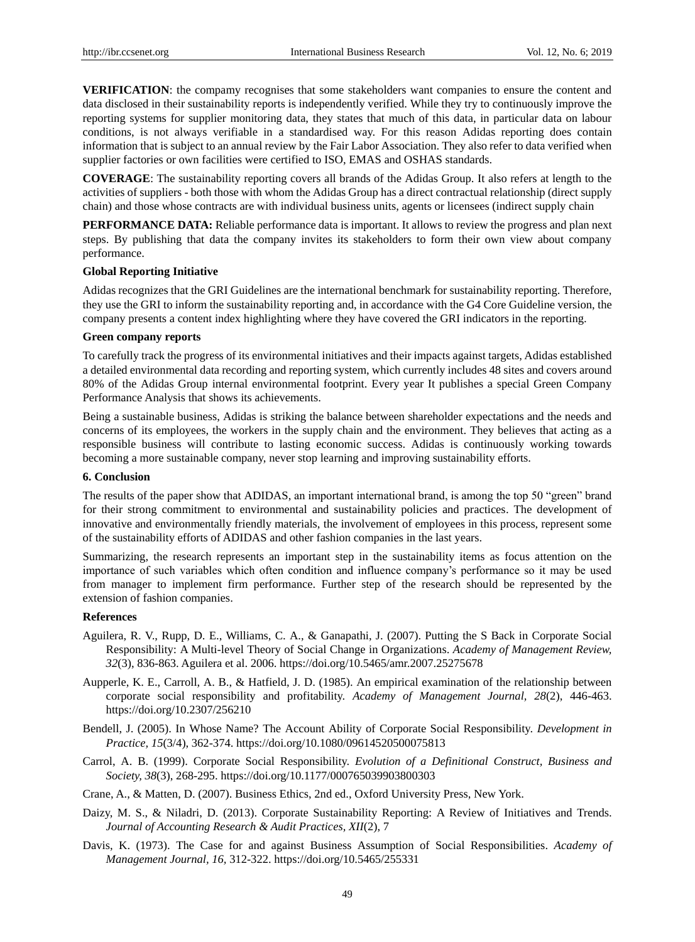**VERIFICATION**: the compamy recognises that some stakeholders want companies to ensure the content and data disclosed in their sustainability reports is independently verified. While they try to continuously improve the reporting systems for supplier monitoring data, they states that much of this data, in particular data on labour conditions, is not always verifiable in a standardised way. For this reason Adidas reporting does contain information that is subject to an annual review by the Fair Labor Association. They also refer to data verified when supplier factories or own facilities were certified to ISO, EMAS and OSHAS standards.

**COVERAGE**: The sustainability reporting covers all brands of the Adidas Group. It also refers at length to the activities of suppliers - both those with whom the Adidas Group has a direct contractual relationship (direct supply chain) and those whose contracts are with individual business units, agents or licensees (indirect supply chain

**PERFORMANCE DATA:** Reliable performance data is important. It allows to review the progress and plan next steps. By publishing that data the company invites its stakeholders to form their own view about company performance.

#### **Global Reporting Initiative**

Adidas recognizes that the GRI Guidelines are the international benchmark for sustainability reporting. Therefore, they use the GRI to inform the sustainability reporting and, in accordance with the G4 Core Guideline version, the company presents a content index highlighting where they have covered the GRI indicators in the reporting.

## **Green company reports**

To carefully track the progress of its environmental initiatives and their impacts against targets, Adidas established a detailed environmental data recording and reporting system, which currently includes 48 sites and covers around 80% of the Adidas Group internal environmental footprint. Every year It publishes a special Green Company Performance Analysis that shows its achievements.

Being a sustainable business, Adidas is striking the balance between shareholder expectations and the needs and concerns of its employees, the workers in the supply chain and the environment. They believes that acting as a responsible business will contribute to lasting economic success. Adidas is continuously working towards becoming a more sustainable company, never stop learning and improving sustainability efforts.

## **6. Conclusion**

The results of the paper show that ADIDAS, an important international brand, is among the top 50 "green" brand for their strong commitment to environmental and sustainability policies and practices. The development of innovative and environmentally friendly materials, the involvement of employees in this process, represent some of the sustainability efforts of ADIDAS and other fashion companies in the last years.

Summarizing, the research represents an important step in the sustainability items as focus attention on the importance of such variables which often condition and influence company"s performance so it may be used from manager to implement firm performance. Further step of the research should be represented by the extension of fashion companies.

## **References**

- Aguilera, R. V., Rupp, D. E., Williams, C. A., & Ganapathi, J. (2007). Putting the S Back in Corporate Social Responsibility: A Multi-level Theory of Social Change in Organizations. *Academy of Management Review, 32*(3), 836-863. Aguilera et al. 2006. https://doi.org/10.5465/amr.2007.25275678
- Aupperle, K. E., Carroll, A. B., & Hatfield, J. D. (1985). An empirical examination of the relationship between corporate social responsibility and profitability. *Academy of Management Journal, 28*(2), 446-463. https://doi.org/10.2307/256210
- Bendell, J. (2005). In Whose Name? The Account Ability of Corporate Social Responsibility. *Development in Practice, 15*(3/4), 362-374. https://doi.org/10.1080/09614520500075813
- Carrol, A. B. (1999). Corporate Social Responsibility. *Evolution of a Definitional Construct, Business and Society, 38*(3), 268-295. https://doi.org/10.1177/000765039903800303
- Crane, A., & Matten, D. (2007). Business Ethics, 2nd ed., Oxford University Press, New York.
- Daizy, M. S., & Niladri, D. (2013). Corporate Sustainability Reporting: A Review of Initiatives and Trends. *Journal of Accounting Research & Audit Practices, XII*(2), 7
- Davis, K. (1973). The Case for and against Business Assumption of Social Responsibilities. *Academy of Management Journal, 16,* 312-322. https://doi.org/10.5465/255331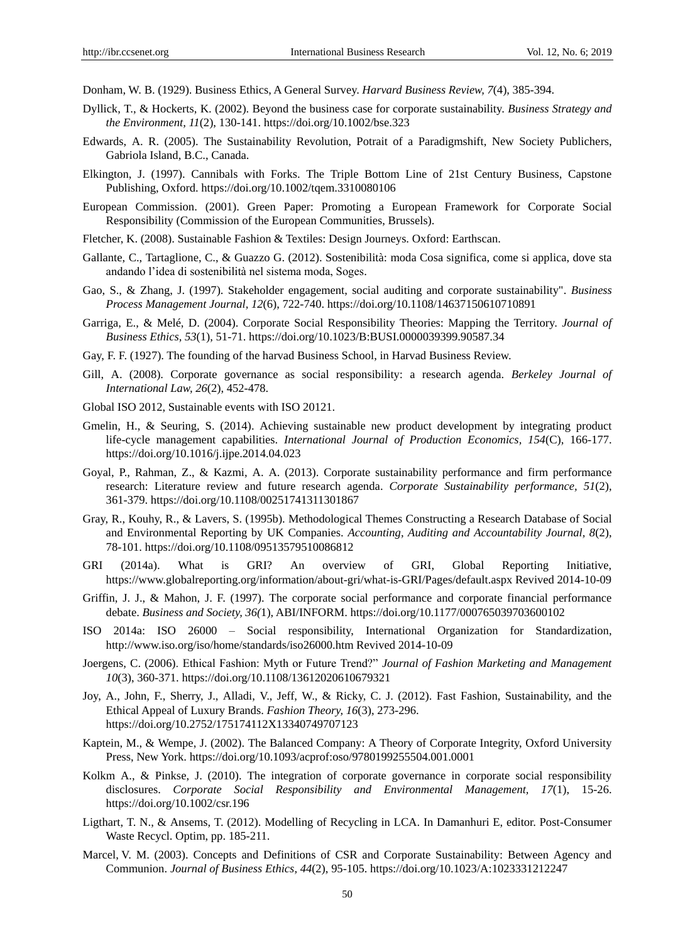Donham, W. B. (1929). Business Ethics, A General Survey. *Harvard Business Review, 7*(4), 385-394.

- Dyllick, T., & Hockerts, K. (2002). Beyond the business case for corporate sustainability. *Business Strategy and the Environment, 11*(2), 130-141. https://doi.org/10.1002/bse.323
- Edwards, A. R. (2005). The Sustainability Revolution, Potrait of a Paradigmshift, New Society Publichers, Gabriola Island, B.C., Canada.
- Elkington, J. (1997). Cannibals with Forks. The Triple Bottom Line of 21st Century Business, Capstone Publishing, Oxford. https://doi.org/10.1002/tqem.3310080106
- European Commission. (2001). Green Paper: Promoting a European Framework for Corporate Social Responsibility (Commission of the European Communities, Brussels).
- Fletcher, K. (2008). Sustainable Fashion & Textiles: Design Journeys. Oxford: Earthscan.
- Gallante, C., Tartaglione, C., & Guazzo G. (2012). Sostenibilità moda Cosa significa, come si applica, dove sta andando l"idea di sostenibilità nel sistema moda, Soges.
- Gao, S., & Zhang, J. (1997). Stakeholder engagement, social auditing and corporate sustainability". *Business Process Management Journal, 12*(6), 722-740. <https://doi.org/10.1108/14637150610710891>
- Garriga, E., & Melé, D. (2004). Corporate Social Responsibility Theories: Mapping the Territory. *Journal of Business Ethics, 53*(1), 51-71. https://doi.org/10.1023/B:BUSI.0000039399.90587.34
- Gay, F. F. (1927). The founding of the harvad Business School, in Harvad Business Review.
- Gill, A. (2008). Corporate governance as social responsibility: a research agenda. *Berkeley Journal of International Law, 26*(2), 452-478.
- Global ISO 2012, Sustainable events with ISO 20121.
- Gmelin, H., & Seuring, S. (2014). Achieving sustainable new product development by integrating product life-cycle management capabilities. *[International Journal of Production Economics,](http://econpapers.repec.org/article/eeeproeco/) 154*(C), 166-177. https://doi.org/10.1016/j.ijpe.2014.04.023
- Goyal, P., Rahman, Z., & Kazmi, A. A. (2013). Corporate sustainability performance and firm performance research: Literature review and future research agenda. *Corporate Sustainability performance, 51*(2), 361-379. https://doi.org/10.1108/00251741311301867
- Gray, R., Kouhy, R., & Lavers, S. (1995b). Methodological Themes Constructing a Research Database of Social and Environmental Reporting by UK Companies. *Accounting, Auditing and Accountability Journal, 8*(2), 78-101. https://doi.org/10.1108/09513579510086812
- GRI (2014a). What is GRI? An overview of GRI, Global Reporting Initiative, <https://www.globalreporting.org/information/about-gri/what-is-GRI/Pages/default.aspx> Revived 2014-10-09
- Griffin, J. J., & Mahon, J. F. (1997). The corporate social performance and corporate financial performance debate. *Business and Society, 36(*1), ABI/INFORM. https://doi.org/10.1177/000765039703600102
- ISO 2014a: ISO 26000 Social responsibility, International Organization for Standardization, http://www.iso.org/iso/home/standards/iso26000.htm Revived 2014-10-09
- Joergens, C. (2006). Ethical Fashion: Myth or Future Trend?" *Journal of Fashion Marketing and Management 10*(3), 360-371. https://doi.org/10.1108/13612020610679321
- Joy, A., John, F., Sherry, J., Alladi, V., Jeff, W., & Ricky, C. J. (2012). Fast Fashion, Sustainability, and the Ethical Appeal of Luxury Brands. *Fashion Theory, 16*(3), 273-296. https://doi.org/10.2752/175174112X13340749707123
- Kaptein, M., & Wempe, J. (2002). The Balanced Company: A Theory of Corporate Integrity, Oxford University Press, New York. https://doi.org/10.1093/acprof:oso/9780199255504.001.0001
- Kolkm A., & Pinkse, J. (2010). The integration of corporate governance in corporate social responsibility disclosures. *Corporate Social Responsibility and Environmental Management, 17*(1), 15-26. https://doi.org/10.1002/csr.196
- Ligthart, T. N., & Ansems, T. (2012). Modelling of Recycling in LCA. In Damanhuri E, editor. Post-Consumer Waste Recycl. Optim, pp. 185-211.
- Marcel, V. M. (2003). Concepts and Definitions of CSR and Corporate Sustainability: Between Agency and Communion. *[Journal of Business Ethics,](https://link.springer.com/journal/10551) 44*(2), 95-105. https://doi.org/10.1023/A:1023331212247